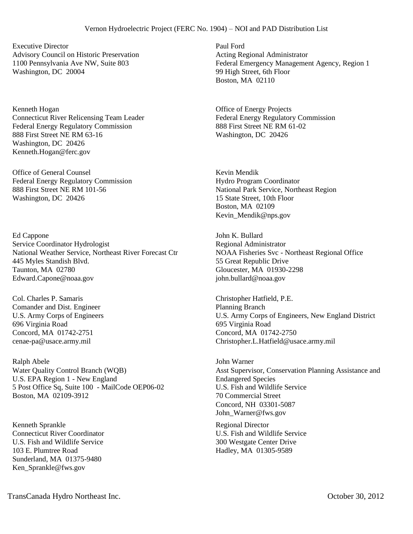Executive Director Advisory Council on Historic Preservation 1100 Pennsylvania Ave NW, Suite 803 Washington, DC 20004

Kenneth Hogan Connecticut River Relicensing Team Leader Federal Energy Regulatory Commission 888 First Street NE RM 63-16 Washington, DC 20426 Kenneth.Hogan@ferc.gov

Office of General Counsel Federal Energy Regulatory Commission 888 First Street NE RM 101-56 Washington, DC 20426

Ed Cappone Service Coordinator Hydrologist National Weather Service, Northeast River Forecast Ctr 445 Myles Standish Blvd. Taunton, MA 02780 Edward.Capone@noaa.gov

Col. Charles P. Samaris Comander and Dist. Engineer U.S. Army Corps of Engineers 696 Virginia Road Concord, MA 01742-2751 cenae-pa@usace.army.mil

Ralph Abele Water Quality Control Branch (WQB) U.S. EPA Region 1 - New England 5 Post Office Sq, Suite 100 - MailCode OEP06-02 Boston, MA 02109-3912

Kenneth Sprankle Connecticut River Coordinator U.S. Fish and Wildlife Service 103 E. Plumtree Road Sunderland, MA 01375-9480 Ken\_Sprankle@fws.gov

Paul Ford Acting Regional Administrator Federal Emergency Management Agency, Region 1 99 High Street, 6th Floor Boston, MA 02110

Office of Energy Projects Federal Energy Regulatory Commission 888 First Street NE RM 61-02 Washington, DC 20426

Kevin Mendik Hydro Program Coordinator National Park Service, Northeast Region 15 State Street, 10th Floor Boston, MA 02109 Kevin\_Mendik@nps.gov

John K. Bullard Regional Administrator NOAA Fisheries Svc - Northeast Regional Office 55 Great Republic Drive Gloucester, MA 01930-2298 john.bullard@noaa.gov

Christopher Hatfield, P.E. Planning Branch U.S. Army Corps of Engineers, New England District 695 Virginia Road Concord, MA 01742-2750 Christopher.L.Hatfield@usace.army.mil

John Warner Asst Supervisor, Conservation Planning Assistance and Endangered Species U.S. Fish and Wildlife Service 70 Commercial Street Concord, NH 03301-5087 John\_Warner@fws.gov

Regional Director U.S. Fish and Wildlife Service 300 Westgate Center Drive Hadley, MA 01305-9589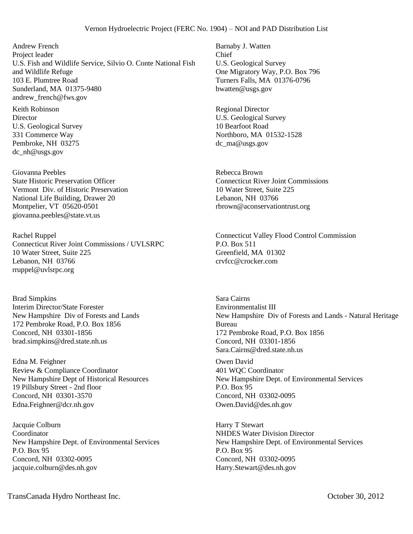Andrew French Project leader U.S. Fish and Wildlife Service, Silvio O. Conte National Fish and Wildlife Refuge 103 E. Plumtree Road Sunderland, MA 01375-9480 andrew\_french@fws.gov

Keith Robinson **Director** U.S. Geological Survey 331 Commerce Way Pembroke, NH 03275 dc\_nh@usgs.gov

Giovanna Peebles State Historic Preservation Officer Vermont Div. of Historic Preservation National Life Building, Drawer 20 Montpelier, VT 05620-0501 giovanna.peebles@state.vt.us

Rachel Ruppel Connecticut River Joint Commissions / UVLSRPC 10 Water Street, Suite 225 Lebanon, NH 03766 rruppel@uvlsrpc.org

Brad Simpkins Interim Director/State Forester New Hampshire Div of Forests and Lands 172 Pembroke Road, P.O. Box 1856 Concord, NH 03301-1856 brad.simpkins@dred.state.nh.us

Edna M. Feighner Review & Compliance Coordinator New Hampshire Dept of Historical Resources 19 Pillsbury Street - 2nd floor Concord, NH 03301-3570 Edna.Feighner@dcr.nh.gov

Jacquie Colburn Coordinator New Hampshire Dept. of Environmental Services P.O. Box 95 Concord, NH 03302-0095 jacquie.colburn@des.nh.gov

Barnaby J. Watten Chief U.S. Geological Survey One Migratory Way, P.O. Box 796 Turners Falls, MA 01376-0796 bwatten@usgs.gov

Regional Director U.S. Geological Survey 10 Bearfoot Road Northboro, MA 01532-1528 dc\_ma@usgs.gov

Rebecca Brown Connecticut River Joint Commissions 10 Water Street, Suite 225 Lebanon, NH 03766 rbrown@aconservationtrust.org

Connecticut Valley Flood Control Commission P.O. Box 511 Greenfield, MA 01302 crvfcc@crocker.com

Sara Cairns Environmentalist III New Hampshire Div of Forests and Lands - Natural Heritage Bureau 172 Pembroke Road, P.O. Box 1856 Concord, NH 03301-1856 Sara.Cairns@dred.state.nh.us

Owen David 401 WQC Coordinator New Hampshire Dept. of Environmental Services P.O. Box 95 Concord, NH 03302-0095 Owen.David@des.nh.gov

Harry T Stewart NHDES Water Division Director New Hampshire Dept. of Environmental Services P.O. Box 95 Concord, NH 03302-0095 Harry.Stewart@des.nh.gov

TransCanada Hydro Northeast Inc. October 30, 2012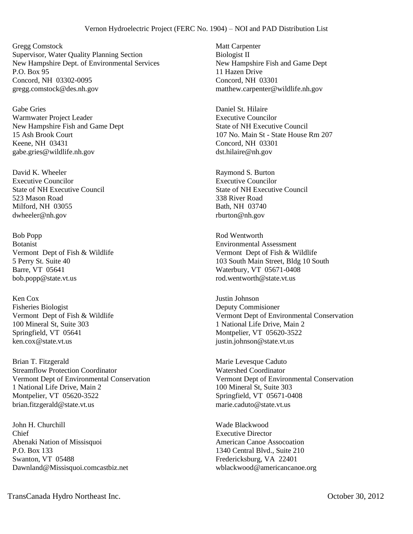Gregg Comstock Supervisor, Water Quality Planning Section New Hampshire Dept. of Environmental Services P.O. Box 95 Concord, NH 03302-0095 gregg.comstock@des.nh.gov

Gabe Gries Warmwater Project Leader New Hampshire Fish and Game Dept 15 Ash Brook Court Keene, NH 03431 gabe.gries@wildlife.nh.gov

David K. Wheeler Executive Councilor State of NH Executive Council 523 Mason Road Milford, NH 03055 dwheeler@nh.gov

Bob Popp Botanist Vermont Dept of Fish & Wildlife 5 Perry St. Suite 40 Barre, VT 05641 bob.popp@state.vt.us

Ken Cox Fisheries Biologist Vermont Dept of Fish & Wildlife 100 Mineral St, Suite 303 Springfield, VT 05641 ken.cox@state.vt.us

Brian T. Fitzgerald Streamflow Protection Coordinator Vermont Dept of Environmental Conservation 1 National Life Drive, Main 2 Montpelier, VT 05620-3522 brian.fitzgerald@state.vt.us

John H. Churchill Chief Abenaki Nation of Missisquoi P.O. Box 133 Swanton, VT 05488 Dawnland@Missisquoi.comcastbiz.net

Matt Carpenter Biologist II New Hampshire Fish and Game Dept 11 Hazen Drive Concord, NH 03301 matthew.carpenter@wildlife.nh.gov

Daniel St. Hilaire Executive Councilor State of NH Executive Council 107 No. Main St - State House Rm 207 Concord, NH 03301 dst.hilaire@nh.gov

Raymond S. Burton Executive Councilor State of NH Executive Council 338 River Road Bath, NH 03740 rburton@nh.gov

Rod Wentworth Environmental Assessment Vermont Dept of Fish & Wildlife 103 South Main Street, Bldg 10 South Waterbury, VT 05671-0408 rod.wentworth@state.vt.us

Justin Johnson Deputy Commisioner Vermont Dept of Environmental Conservation 1 National Life Drive, Main 2 Montpelier, VT 05620-3522 justin.johnson@state.vt.us

Marie Levesque Caduto Watershed Coordinator Vermont Dept of Environmental Conservation 100 Mineral St, Suite 303 Springfield, VT 05671-0408 marie.caduto@state.vt.us

Wade Blackwood Executive Director American Canoe Assocoation 1340 Central Blvd., Suite 210 Fredericksburg, VA 22401 wblackwood@americancanoe.org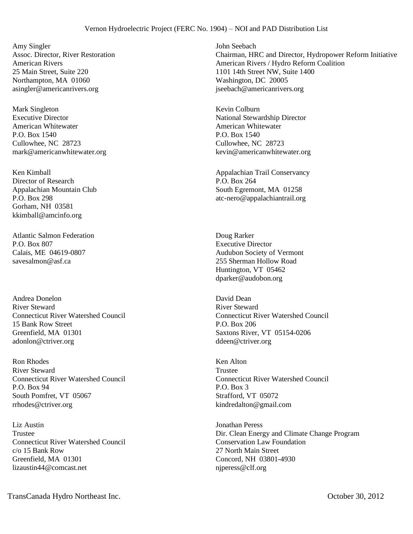Amy Singler Assoc. Director, River Restoration American Rivers 25 Main Street, Suite 220 Northampton, MA 01060 asingler@americanrivers.org

Mark Singleton Executive Director American Whitewater P.O. Box 1540 Cullowhee, NC 28723 mark@americanwhitewater.org

Ken Kimball Director of Research Appalachian Mountain Club P.O. Box 298 Gorham, NH 03581 kkimball@amcinfo.org

Atlantic Salmon Federation P.O. Box 807 Calais, ME 04619-0807 savesalmon@asf.ca

Andrea Donelon River Steward Connecticut River Watershed Council 15 Bank Row Street Greenfield, MA 01301 adonlon@ctriver.org

Ron Rhodes River Steward Connecticut River Watershed Council P.O. Box 94 South Pomfret, VT 05067 rrhodes@ctriver.org

Liz Austin Trustee Connecticut River Watershed Council c/o 15 Bank Row Greenfield, MA 01301 lizaustin44@comcast.net

John Seebach Chairman, HRC and Director, Hydropower Reform Initiative American Rivers / Hydro Reform Coalition 1101 14th Street NW, Suite 1400 Washington, DC 20005 jseebach@americanrivers.org

Kevin Colburn National Stewardship Director American Whitewater P.O. Box 1540 Cullowhee, NC 28723 kevin@americanwhitewater.org

Appalachian Trail Conservancy P.O. Box 264 South Egremont, MA 01258 atc-nero@appalachiantrail.org

Doug Rarker Executive Director Audubon Society of Vermont 255 Sherman Hollow Road Huntington, VT 05462 dparker@audobon.org

David Dean River Steward Connecticut River Watershed Council P.O. Box 206 Saxtons River, VT 05154-0206 ddeen@ctriver.org

Ken Alton Trustee Connecticut River Watershed Council P.O. Box 3 Strafford, VT 05072 kindredalton@gmail.com

Jonathan Peress Dir. Clean Energy and Climate Change Program Conservation Law Foundation 27 North Main Street Concord, NH 03801-4930 njperess@clf.org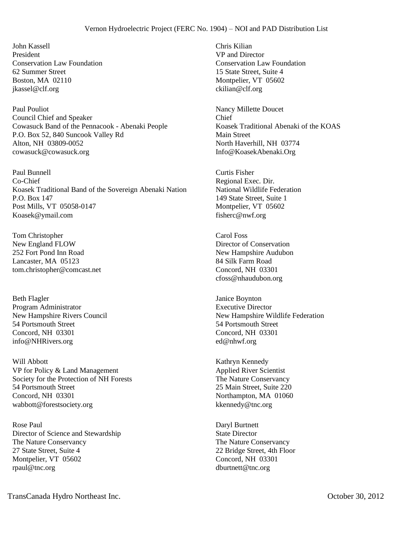John Kassell President Conservation Law Foundation 62 Summer Street Boston, MA 02110 jkassel@clf.org

Paul Pouliot Council Chief and Speaker Cowasuck Band of the Pennacook - Abenaki People P.O. Box 52, 840 Suncook Valley Rd Alton, NH 03809-0052 cowasuck@cowasuck.org

Paul Bunnell Co-Chief Koasek Traditional Band of the Sovereign Abenaki Nation P.O. Box 147 Post Mills, VT 05058-0147 Koasek@ymail.com

Tom Christopher New England FLOW 252 Fort Pond Inn Road Lancaster, MA 05123 tom.christopher@comcast.net

Beth Flagler Program Administrator New Hampshire Rivers Council 54 Portsmouth Street Concord, NH 03301 info@NHRivers.org

Will Abbott VP for Policy & Land Management Society for the Protection of NH Forests 54 Portsmouth Street Concord, NH 03301 wabbott@forestsociety.org

Rose Paul Director of Science and Stewardship The Nature Conservancy 27 State Street, Suite 4 Montpelier, VT 05602 rpaul@tnc.org

Chris Kilian VP and Director Conservation Law Foundation 15 State Street, Suite 4 Montpelier, VT 05602 ckilian@clf.org

Nancy Millette Doucet Chief Koasek Traditional Abenaki of the KOAS Main Street North Haverhill, NH 03774 Info@KoasekAbenaki.Org

Curtis Fisher Regional Exec. Dir. National Wildlife Federation 149 State Street, Suite 1 Montpelier, VT 05602 fisherc@nwf.org

Carol Foss Director of Conservation New Hampshire Audubon 84 Silk Farm Road Concord, NH 03301 cfoss@nhaudubon.org

Janice Boynton Executive Director New Hampshire Wildlife Federation 54 Portsmouth Street Concord, NH 03301 ed@nhwf.org

Kathryn Kennedy Applied River Scientist The Nature Conservancy 25 Main Street, Suite 220 Northampton, MA 01060 kkennedy@tnc.org

Daryl Burtnett State Director The Nature Conservancy 22 Bridge Street, 4th Floor Concord, NH 03301 dburtnett@tnc.org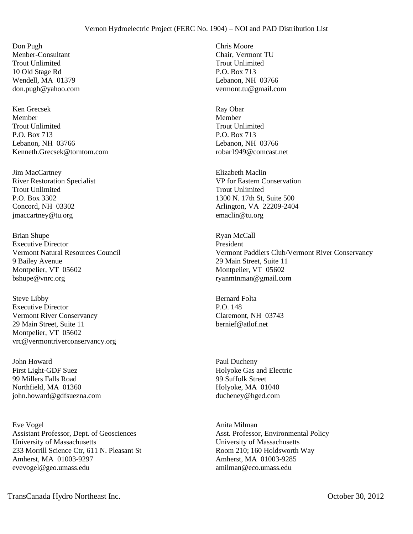Don Pugh Menber-Consultant Trout Unlimited 10 Old Stage Rd Wendell, MA 01379 don.pugh@yahoo.com

Ken Grecsek Member Trout Unlimited P.O. Box 713 Lebanon, NH 03766 Kenneth.Grecsek@tomtom.com

Jim MacCartney River Restoration Specialist Trout Unlimited P.O. Box 3302 Concord, NH 03302 jmaccartney@tu.org

Brian Shupe Executive Director Vermont Natural Resources Council 9 Bailey Avenue Montpelier, VT 05602 bshupe@vnrc.org

Steve Libby Executive Director Vermont River Conservancy 29 Main Street, Suite 11 Montpelier, VT 05602 vrc@vermontriverconservancy.org

John Howard First Light-GDF Suez 99 Millers Falls Road Northfield, MA 01360 john.howard@gdfsuezna.com

Eve Vogel Assistant Professor, Dept. of Geosciences University of Massachusetts 233 Morrill Science Ctr, 611 N. Pleasant St Amherst, MA 01003-9297 evevogel@geo.umass.edu

Chris Moore Chair, Vermont TU Trout Unlimited P.O. Box 713 Lebanon, NH 03766 vermont.tu@gmail.com

Ray Obar Member Trout Unlimited P.O. Box 713 Lebanon, NH 03766 robar1949@comcast.net

Elizabeth Maclin VP for Eastern Conservation Trout Unlimited 1300 N. 17th St, Suite 500 Arlington, VA 22209-2404 emaclin@tu.org

Ryan McCall President Vermont Paddlers Club/Vermont River Conservancy 29 Main Street, Suite 11 Montpelier, VT 05602 ryanmtnman@gmail.com

Bernard Folta P.O. 148 Claremont, NH 03743 bernief@atlof.net

Paul Ducheny Holyoke Gas and Electric 99 Suffolk Street Holyoke, MA 01040 ducheney@hged.com

Anita Milman Asst. Professor, Environmental Policy University of Massachusetts Room 210; 160 Holdsworth Way Amherst, MA 01003-9285 amilman@eco.umass.edu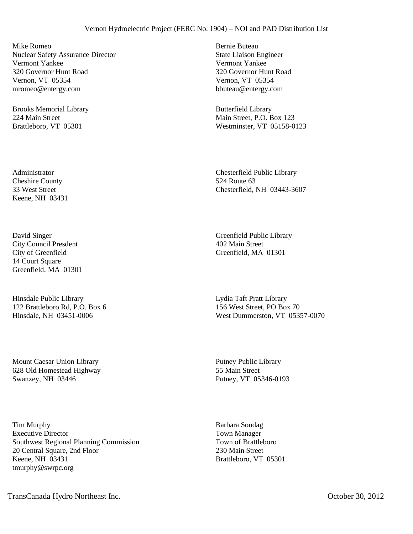Mike Romeo Nuclear Safety Assurance Director Vermont Yankee 320 Governor Hunt Road Vernon, VT 05354 mromeo@entergy.com

Brooks Memorial Library 224 Main Street Brattleboro, VT 05301

Administrator Cheshire County 33 West Street Keene, NH 03431

David Singer City Council Presdent City of Greenfield 14 Court Square Greenfield, MA 01301

Hinsdale Public Library 122 Brattleboro Rd, P.O. Box 6 Hinsdale, NH 03451-0006

Mount Caesar Union Library 628 Old Homestead Highway Swanzey, NH 03446

Tim Murphy Executive Director Southwest Regional Planning Commission 20 Central Square, 2nd Floor Keene, NH 03431 tmurphy@swrpc.org

Bernie Buteau State Liaison Engineer Vermont Yankee 320 Governor Hunt Road Vernon, VT 05354 bbuteau@entergy.com

Butterfield Library Main Street, P.O. Box 123 Westminster, VT 05158-0123

Chesterfield Public Library 524 Route 63 Chesterfield, NH 03443-3607

Greenfield Public Library 402 Main Street Greenfield, MA 01301

Lydia Taft Pratt Library 156 West Street, PO Box 70 West Dummerston, VT 05357-0070

Putney Public Library 55 Main Street Putney, VT 05346-0193

Barbara Sondag Town Manager Town of Brattleboro 230 Main Street Brattleboro, VT 05301

TransCanada Hydro Northeast Inc. October 30, 2012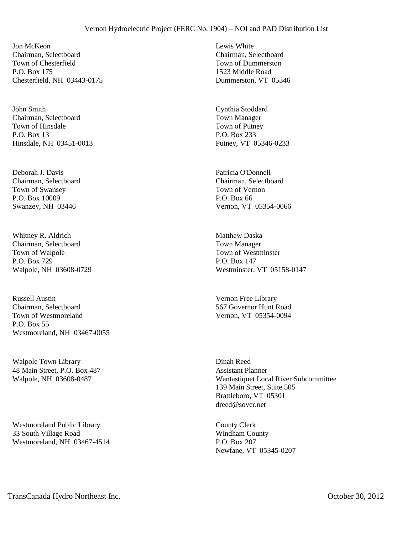Jon McKeon Chairman, Selectboard Town of Chesterfield P.O. Box 175 Chesterfield, NH 03443-0175

John Smith Chairman, Selectboard Town of Hinsdale P.O. Box 13 Hinsdale, NH 03451-0013

Deborah J. Davis Chairman, Selectboard Town of Swansey P.O. Box 10009 Swanzey, NH 03446

Whitney R. Aldrich Chairman, Selectboard Town of Walpole P.O. Box 729 Walpole, NH 03608-0729

Russell Austin Chairman, Selectboard Town of Westmoreland P.O. Box 55 Westmoreland, NH 03467-0055

Walpole Town Library 48 Main Street, P.O. Box 487 Walpole, NH 03608-0487

Westmoreland Public Library 33 South Village Road Westmoreland, NH 03467-4514 Lewis White Chairman, Selectboard Town of Dummerston 1523 Middle Road Dummerston, VT 05346

Cynthia Stoddard Town Manager Town of Putney P.O. Box 233 Putney, VT 05346-0233

Patricia O'Donnell Chairman, Selectboard Town of Vernon P.O. Box 66 Vernon, VT 05354-0066

Matthew Daska Town Manager Town of Westminster P.O. Box 147 Westminster, VT 05158-0147

Vernon Free Library 567 Governor Hunt Road Vernon, VT 05354-0094

Dinah Reed Assistant Planner Wantastiquet Local River Subcommittee 139 Main Street, Suite 505 Brattleboro, VT 05301 dreed@sover.net

County Clerk Windham County P.O. Box 207 Newfane, VT 05345-0207